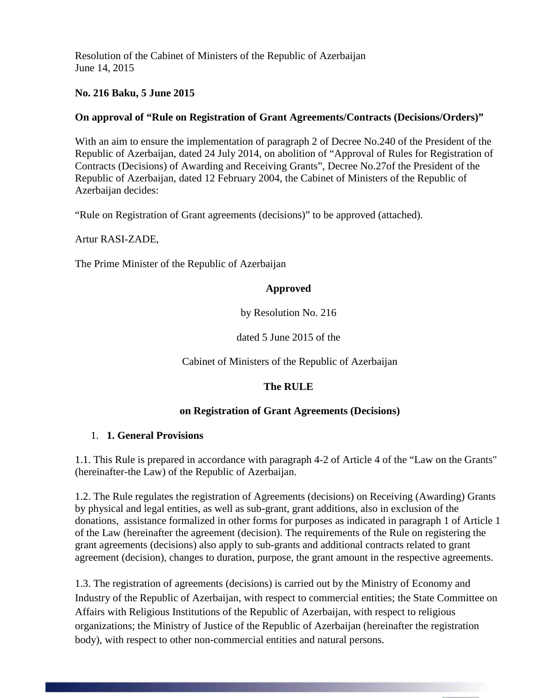Resolution of the Cabinet of Ministers of the Republic of Azerbaijan June 14, 2015

## **No. 216 Baku, 5 June 2015**

### **On approval of "Rule on Registration of Grant Agreements/Contracts (Decisions/Orders)"**

With an aim to ensure the implementation of paragraph 2 of Decree No.240 of the President of the Republic of Azerbaijan, dated 24 July 2014, on abolition of "Approval of Rules for Registration of Contracts (Decisions) of Awarding and Receiving Grants", Decree No.27of the President of the Republic of Azerbaijan, dated 12 February 2004, the Cabinet of Ministers of the Republic of Azerbaijan decides:

"Rule on Registration of Grant agreements (decisions)" to be approved (attached).

Artur RASI-ZADE,

The Prime Minister of the Republic of Azerbaijan

### **Approved**

by Resolution No. 216

dated 5 June 2015 of the

Cabinet of Ministers of the Republic of Azerbaijan

### **The RULE**

### **on Registration of Grant Agreements (Decisions)**

#### 1. **1. General Provisions**

1.1. This Rule is prepared in accordance with paragraph 4-2 of Article 4 of the "Law on the Grants" (hereinafter-the Law) of the Republic of Azerbaijan.

1.2. The Rule regulates the registration of Agreements (decisions) on Receiving (Awarding) Grants by physical and legal entities, as well as sub-grant, grant additions, also in exclusion of the donations, assistance formalized in other forms for purposes as indicated in paragraph 1 of Article 1 of the Law (hereinafter the agreement (decision). The requirements of the Rule on registering the grant agreements (decisions) also apply to sub-grants and additional contracts related to grant agreement (decision), changes to duration, purpose, the grant amount in the respective agreements.

1.3. The registration of agreements (decisions) is carried out by the Ministry of Economy and Industry of the Republic of Azerbaijan, with respect to commercial entities; the State Committee on Affairs with Religious Institutions of the Republic of Azerbaijan, with respect to religious organizations; the Ministry of Justice of the Republic of Azerbaijan (hereinafter the registration body), with respect to other non-commercial entities and natural persons.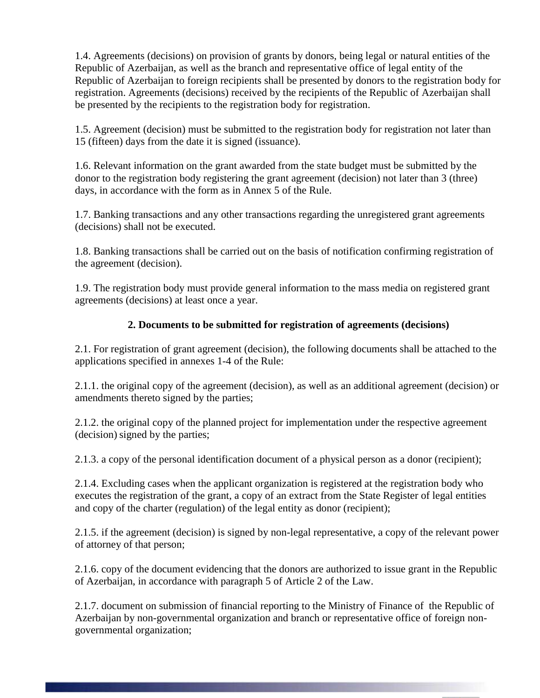1.4. Agreements (decisions) on provision of grants by donors, being legal or natural entities of the Republic of Azerbaijan, as well as the branch and representative office of legal entity of the Republic of Azerbaijan to foreign recipients shall be presented by donors to the registration body for registration. Agreements (decisions) received by the recipients of the Republic of Azerbaijan shall be presented by the recipients to the registration body for registration.

1.5. Agreement (decision) must be submitted to the registration body for registration not later than 15 (fifteen) days from the date it is signed (issuance).

1.6. Relevant information on the grant awarded from the state budget must be submitted by the donor to the registration body registering the grant agreement (decision) not later than 3 (three) days, in accordance with the form as in Annex 5 of the Rule.

1.7. Banking transactions and any other transactions regarding the unregistered grant agreements (decisions) shall not be executed.

1.8. Banking transactions shall be carried out on the basis of notification confirming registration of the agreement (decision).

1.9. The registration body must provide general information to the mass media on registered grant agreements (decisions) at least once a year.

### **2. Documents to be submitted for registration of agreements (decisions)**

2.1. For registration of grant agreement (decision), the following documents shall be attached to the applications specified in annexes 1-4 of the Rule:

2.1.1. the original copy of the agreement (decision), as well as an additional agreement (decision) or amendments thereto signed by the parties;

2.1.2. the original copy of the planned project for implementation under the respective agreement (decision) signed by the parties;

2.1.3. a copy of the personal identification document of a physical person as a donor (recipient);

2.1.4. Excluding cases when the applicant organization is registered at the registration body who executes the registration of the grant, a copy of an extract from the State Register of legal entities and copy of the charter (regulation) of the legal entity as donor (recipient);

2.1.5. if the agreement (decision) is signed by non-legal representative, a copy of the relevant power of attorney of that person;

2.1.6. copy of the document evidencing that the donors are authorized to issue grant in the Republic of Azerbaijan, in accordance with paragraph 5 of Article 2 of the Law.

2.1.7. document on submission of financial reporting to the Ministry of Finance of the Republic of Azerbaijan by non-governmental organization and branch or representative office of foreign nongovernmental organization;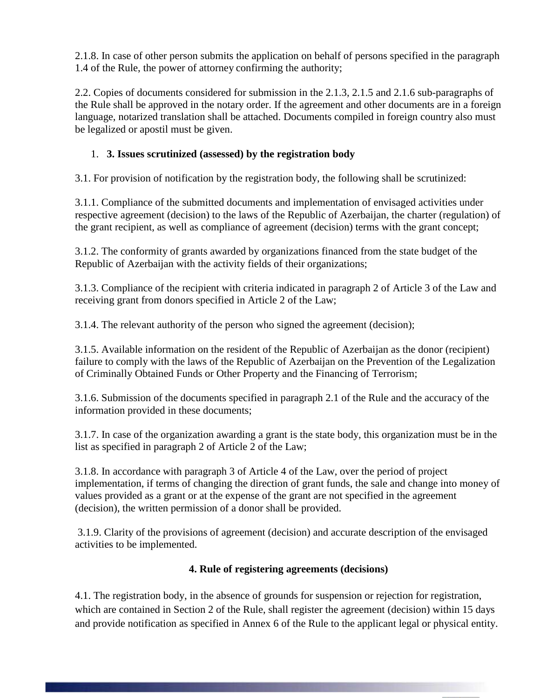2.1.8. In case of other person submits the application on behalf of persons specified in the paragraph 1.4 of the Rule, the power of attorney confirming the authority;

2.2. Copies of documents considered for submission in the 2.1.3, 2.1.5 and 2.1.6 sub-paragraphs of the Rule shall be approved in the notary order. If the agreement and other documents are in a foreign language, notarized translation shall be attached. Documents compiled in foreign country also must be legalized or apostil must be given.

## 1. **3. Issues scrutinized (assessed) by the registration body**

3.1. For provision of notification by the registration body, the following shall be scrutinized:

3.1.1. Compliance of the submitted documents and implementation of envisaged activities under respective agreement (decision) to the laws of the Republic of Azerbaijan, the charter (regulation) of the grant recipient, as well as compliance of agreement (decision) terms with the grant concept;

3.1.2. The conformity of grants awarded by organizations financed from the state budget of the Republic of Azerbaijan with the activity fields of their organizations;

3.1.3. Compliance of the recipient with criteria indicated in paragraph 2 of Article 3 of the Law and receiving grant from donors specified in Article 2 of the Law;

3.1.4. The relevant authority of the person who signed the agreement (decision);

3.1.5. Available information on the resident of the Republic of Azerbaijan as the donor (recipient) failure to comply with the laws of the Republic of Azerbaijan on the Prevention of the Legalization of Criminally Obtained Funds or Other Property and the Financing of Terrorism;

3.1.6. Submission of the documents specified in paragraph 2.1 of the Rule and the accuracy of the information provided in these documents;

3.1.7. In case of the organization awarding a grant is the state body, this organization must be in the list as specified in paragraph 2 of Article 2 of the Law;

3.1.8. In accordance with paragraph 3 of Article 4 of the Law, over the period of project implementation, if terms of changing the direction of grant funds, the sale and change into money of values provided as a grant or at the expense of the grant are not specified in the agreement (decision), the written permission of a donor shall be provided.

3.1.9. Clarity of the provisions of agreement (decision) and accurate description of the envisaged activities to be implemented.

### **4. Rule of registering agreements (decisions)**

4.1. The registration body, in the absence of grounds for suspension or rejection for registration, which are contained in Section 2 of the Rule, shall register the agreement (decision) within 15 days and provide notification as specified in Annex 6 of the Rule to the applicant legal or physical entity.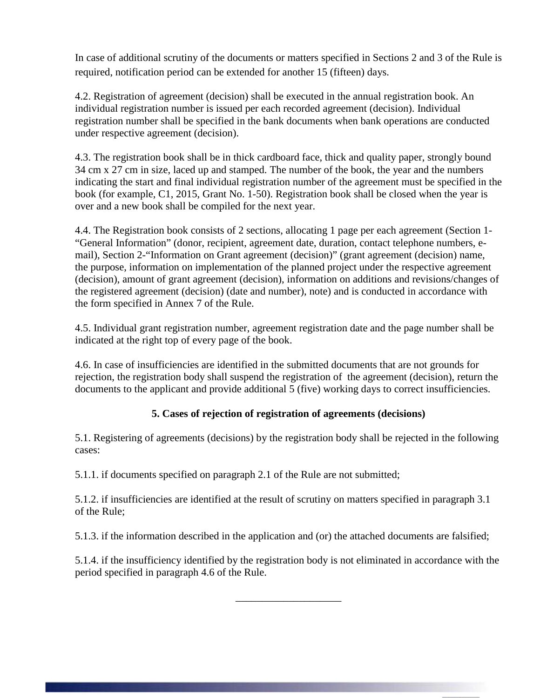In case of additional scrutiny of the documents or matters specified in Sections 2 and 3 of the Rule is required, notification period can be extended for another 15 (fifteen) days.

4.2. Registration of agreement (decision) shall be executed in the annual registration book. An individual registration number is issued per each recorded agreement (decision). Individual registration number shall be specified in the bank documents when bank operations are conducted under respective agreement (decision).

4.3. The registration book shall be in thick cardboard face, thick and quality paper, strongly bound 34 cm x 27 cm in size, laced up and stamped. The number of the book, the year and the numbers indicating the start and final individual registration number of the agreement must be specified in the book (for example, C1, 2015, Grant No. 1-50). Registration book shall be closed when the year is over and a new book shall be compiled for the next year.

4.4. The Registration book consists of 2 sections, allocating 1 page per each agreement (Section 1- "General Information" (donor, recipient, agreement date, duration, contact telephone numbers, email), Section 2-"Information on Grant agreement (decision)" (grant agreement (decision) name, the purpose, information on implementation of the planned project under the respective agreement (decision), amount of grant agreement (decision), information on additions and revisions/changes of the registered agreement (decision) (date and number), note) and is conducted in accordance with the form specified in Annex 7 of the Rule.

4.5. Individual grant registration number, agreement registration date and the page number shall be indicated at the right top of every page of the book.

4.6. In case of insufficiencies are identified in the submitted documents that are not grounds for rejection, the registration body shall suspend the registration of the agreement (decision), return the documents to the applicant and provide additional 5 (five) working days to correct insufficiencies.

## **5. Cases of rejection of registration of agreements (decisions)**

5.1. Registering of agreements (decisions) by the registration body shall be rejected in the following cases:

5.1.1. if documents specified on paragraph 2.1 of the Rule are not submitted;

5.1.2. if insufficiencies are identified at the result of scrutiny on matters specified in paragraph 3.1 of the Rule;

5.1.3. if the information described in the application and (or) the attached documents are falsified;

5.1.4. if the insufficiency identified by the registration body is not eliminated in accordance with the period specified in paragraph 4.6 of the Rule.

\_\_\_\_\_\_\_\_\_\_\_\_\_\_\_\_\_\_\_\_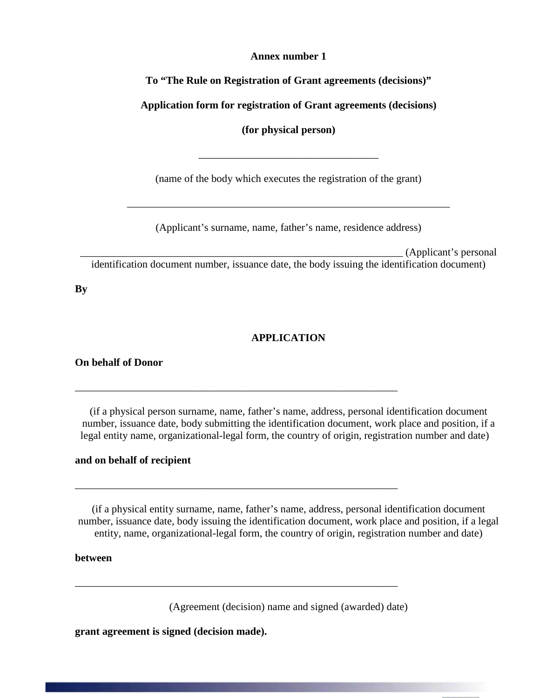#### **Annex number 1**

**To "The Rule on Registration of Grant agreements (decisions)"**

**Application form for registration of Grant agreements (decisions)**

**(for physical person)**

\_\_\_\_\_\_\_\_\_\_\_\_\_\_\_\_\_\_\_\_\_\_\_\_\_\_\_\_\_\_\_\_\_\_

(name of the body which executes the registration of the grant)

(Applicant's surname, name, father's name, residence address)

\_\_\_\_\_\_\_\_\_\_\_\_\_\_\_\_\_\_\_\_\_\_\_\_\_\_\_\_\_\_\_\_\_\_\_\_\_\_\_\_\_\_\_\_\_\_\_\_\_\_\_\_\_\_\_\_\_\_\_\_\_

\_\_\_\_\_\_\_\_\_\_\_\_\_\_\_\_\_\_\_\_\_\_\_\_\_\_\_\_\_\_\_\_\_\_\_\_\_\_\_\_\_\_\_\_\_\_\_\_\_\_\_\_\_\_\_\_\_\_\_\_\_ (Applicant's personal

identification document number, issuance date, the body issuing the identification document)

**By**

### **APPLICATION**

**On behalf of Donor** 

(if a physical person surname, name, father's name, address, personal identification document number, issuance date, body submitting the identification document, work place and position, if a legal entity name, organizational-legal form, the country of origin, registration number and date)

\_\_\_\_\_\_\_\_\_\_\_\_\_\_\_\_\_\_\_\_\_\_\_\_\_\_\_\_\_\_\_\_\_\_\_\_\_\_\_\_\_\_\_\_\_\_\_\_\_\_\_\_\_\_\_\_\_\_\_\_\_

\_\_\_\_\_\_\_\_\_\_\_\_\_\_\_\_\_\_\_\_\_\_\_\_\_\_\_\_\_\_\_\_\_\_\_\_\_\_\_\_\_\_\_\_\_\_\_\_\_\_\_\_\_\_\_\_\_\_\_\_\_

\_\_\_\_\_\_\_\_\_\_\_\_\_\_\_\_\_\_\_\_\_\_\_\_\_\_\_\_\_\_\_\_\_\_\_\_\_\_\_\_\_\_\_\_\_\_\_\_\_\_\_\_\_\_\_\_\_\_\_\_\_

#### **and on behalf of recipient**

(if a physical entity surname, name, father's name, address, personal identification document number, issuance date, body issuing the identification document, work place and position, if a legal entity, name, organizational-legal form, the country of origin, registration number and date)

**between**

(Agreement (decision) name and signed (awarded) date)

**grant agreement is signed (decision made).**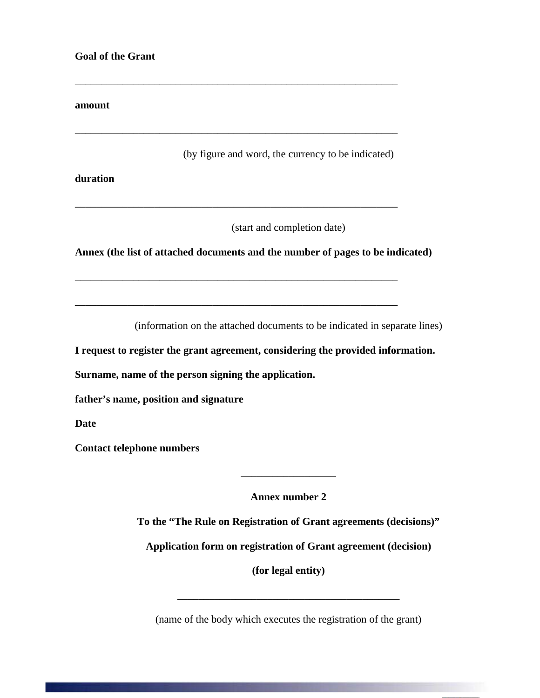#### **amount**

(by figure and word, the currency to be indicated)

**duration**

(start and completion date)

**Annex (the list of attached documents and the number of pages to be indicated)**

\_\_\_\_\_\_\_\_\_\_\_\_\_\_\_\_\_\_\_\_\_\_\_\_\_\_\_\_\_\_\_\_\_\_\_\_\_\_\_\_\_\_\_\_\_\_\_\_\_\_\_\_\_\_\_\_\_\_\_\_\_

\_\_\_\_\_\_\_\_\_\_\_\_\_\_\_\_\_\_\_\_\_\_\_\_\_\_\_\_\_\_\_\_\_\_\_\_\_\_\_\_\_\_\_\_\_\_\_\_\_\_\_\_\_\_\_\_\_\_\_\_\_

\_\_\_\_\_\_\_\_\_\_\_\_\_\_\_\_\_\_\_\_\_\_\_\_\_\_\_\_\_\_\_\_\_\_\_\_\_\_\_\_\_\_\_\_\_\_\_\_\_\_\_\_\_\_\_\_\_\_\_\_\_

\_\_\_\_\_\_\_\_\_\_\_\_\_\_\_\_\_\_\_\_\_\_\_\_\_\_\_\_\_\_\_\_\_\_\_\_\_\_\_\_\_\_\_\_\_\_\_\_\_\_\_\_\_\_\_\_\_\_\_\_\_

(information on the attached documents to be indicated in separate lines)

**I request to register the grant agreement, considering the provided information.**

**Surname, name of the person signing the application.**

**father's name, position and signature**

**Date**

**Contact telephone numbers**

**Annex number 2**

\_\_\_\_\_\_\_\_\_\_\_\_\_\_\_\_\_\_

**To the "The Rule on Registration of Grant agreements (decisions)"**

**Application form on registration of Grant agreement (decision)**

**(for legal entity)**

(name of the body which executes the registration of the grant)

\_\_\_\_\_\_\_\_\_\_\_\_\_\_\_\_\_\_\_\_\_\_\_\_\_\_\_\_\_\_\_\_\_\_\_\_\_\_\_\_\_\_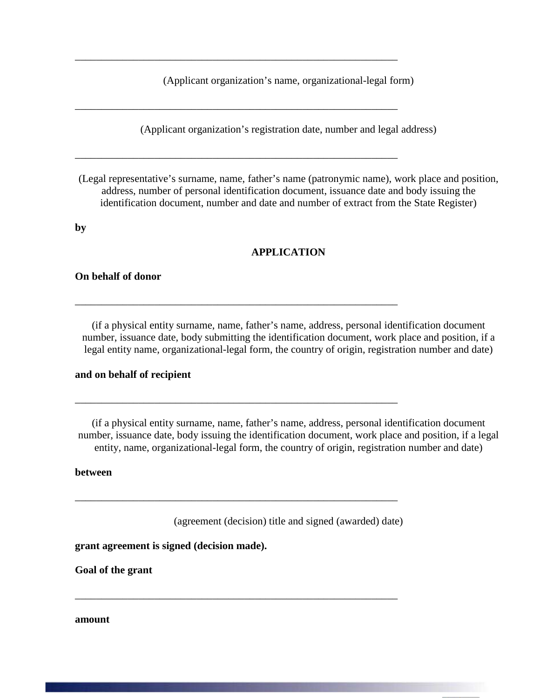(Applicant organization's name, organizational-legal form)

\_\_\_\_\_\_\_\_\_\_\_\_\_\_\_\_\_\_\_\_\_\_\_\_\_\_\_\_\_\_\_\_\_\_\_\_\_\_\_\_\_\_\_\_\_\_\_\_\_\_\_\_\_\_\_\_\_\_\_\_\_

\_\_\_\_\_\_\_\_\_\_\_\_\_\_\_\_\_\_\_\_\_\_\_\_\_\_\_\_\_\_\_\_\_\_\_\_\_\_\_\_\_\_\_\_\_\_\_\_\_\_\_\_\_\_\_\_\_\_\_\_\_

\_\_\_\_\_\_\_\_\_\_\_\_\_\_\_\_\_\_\_\_\_\_\_\_\_\_\_\_\_\_\_\_\_\_\_\_\_\_\_\_\_\_\_\_\_\_\_\_\_\_\_\_\_\_\_\_\_\_\_\_\_

\_\_\_\_\_\_\_\_\_\_\_\_\_\_\_\_\_\_\_\_\_\_\_\_\_\_\_\_\_\_\_\_\_\_\_\_\_\_\_\_\_\_\_\_\_\_\_\_\_\_\_\_\_\_\_\_\_\_\_\_\_

\_\_\_\_\_\_\_\_\_\_\_\_\_\_\_\_\_\_\_\_\_\_\_\_\_\_\_\_\_\_\_\_\_\_\_\_\_\_\_\_\_\_\_\_\_\_\_\_\_\_\_\_\_\_\_\_\_\_\_\_\_

\_\_\_\_\_\_\_\_\_\_\_\_\_\_\_\_\_\_\_\_\_\_\_\_\_\_\_\_\_\_\_\_\_\_\_\_\_\_\_\_\_\_\_\_\_\_\_\_\_\_\_\_\_\_\_\_\_\_\_\_\_

\_\_\_\_\_\_\_\_\_\_\_\_\_\_\_\_\_\_\_\_\_\_\_\_\_\_\_\_\_\_\_\_\_\_\_\_\_\_\_\_\_\_\_\_\_\_\_\_\_\_\_\_\_\_\_\_\_\_\_\_\_

(Applicant organization's registration date, number and legal address)

(Legal representative's surname, name, father's name (patronymic name), work place and position, address, number of personal identification document, issuance date and body issuing the identification document, number and date and number of extract from the State Register)

**by**

#### **APPLICATION**

#### **On behalf of donor**

(if a physical entity surname, name, father's name, address, personal identification document number, issuance date, body submitting the identification document, work place and position, if a legal entity name, organizational-legal form, the country of origin, registration number and date)

#### **and on behalf of recipient**

(if a physical entity surname, name, father's name, address, personal identification document number, issuance date, body issuing the identification document, work place and position, if a legal entity, name, organizational-legal form, the country of origin, registration number and date)

#### **between**

(agreement (decision) title and signed (awarded) date)

**grant agreement is signed (decision made).**

**Goal of the grant**

**amount**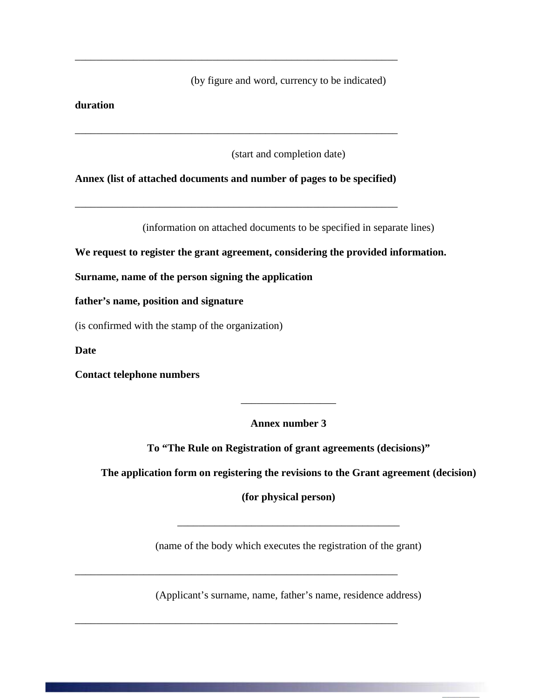(by figure and word, currency to be indicated)

**duration**

(start and completion date)

**Annex (list of attached documents and number of pages to be specified)**

\_\_\_\_\_\_\_\_\_\_\_\_\_\_\_\_\_\_\_\_\_\_\_\_\_\_\_\_\_\_\_\_\_\_\_\_\_\_\_\_\_\_\_\_\_\_\_\_\_\_\_\_\_\_\_\_\_\_\_\_\_

\_\_\_\_\_\_\_\_\_\_\_\_\_\_\_\_\_\_\_\_\_\_\_\_\_\_\_\_\_\_\_\_\_\_\_\_\_\_\_\_\_\_\_\_\_\_\_\_\_\_\_\_\_\_\_\_\_\_\_\_\_

\_\_\_\_\_\_\_\_\_\_\_\_\_\_\_\_\_\_\_\_\_\_\_\_\_\_\_\_\_\_\_\_\_\_\_\_\_\_\_\_\_\_\_\_\_\_\_\_\_\_\_\_\_\_\_\_\_\_\_\_\_

(information on attached documents to be specified in separate lines)

**We request to register the grant agreement, considering the provided information.**

**Surname, name of the person signing the application**

**father's name, position and signature**

(is confirmed with the stamp of the organization)

**Date**

**Contact telephone numbers**

**Annex number 3**

\_\_\_\_\_\_\_\_\_\_\_\_\_\_\_\_\_\_

**To "The Rule on Registration of grant agreements (decisions)"**

**The application form on registering the revisions to the Grant agreement (decision)**

**(for physical person)** 

(name of the body which executes the registration of the grant)

\_\_\_\_\_\_\_\_\_\_\_\_\_\_\_\_\_\_\_\_\_\_\_\_\_\_\_\_\_\_\_\_\_\_\_\_\_\_\_\_\_\_

(Applicant's surname, name, father's name, residence address)

\_\_\_\_\_\_\_\_\_\_\_\_\_\_\_\_\_\_\_\_\_\_\_\_\_\_\_\_\_\_\_\_\_\_\_\_\_\_\_\_\_\_\_\_\_\_\_\_\_\_\_\_\_\_\_\_\_\_\_\_\_

\_\_\_\_\_\_\_\_\_\_\_\_\_\_\_\_\_\_\_\_\_\_\_\_\_\_\_\_\_\_\_\_\_\_\_\_\_\_\_\_\_\_\_\_\_\_\_\_\_\_\_\_\_\_\_\_\_\_\_\_\_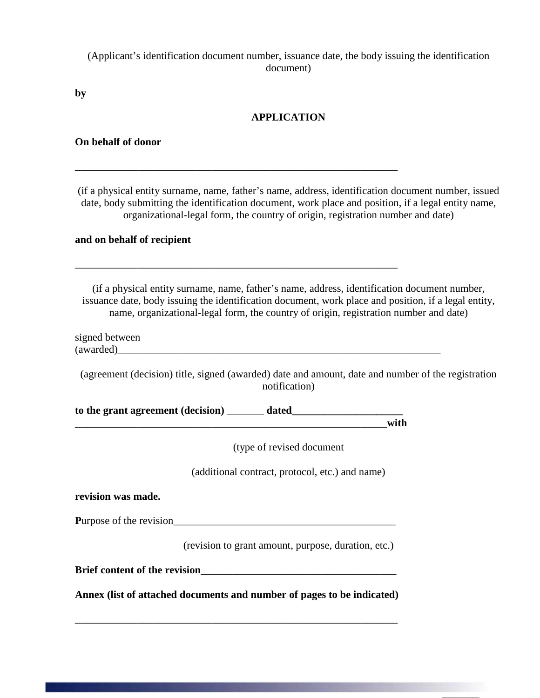(Applicant's identification document number, issuance date, the body issuing the identification document)

**by**

### **APPLICATION**

**On behalf of donor**

(if a physical entity surname, name, father's name, address, identification document number, issued date, body submitting the identification document, work place and position, if a legal entity name, organizational-legal form, the country of origin, registration number and date)

#### **and on behalf of recipient**

(if a physical entity surname, name, father's name, address, identification document number, issuance date, body issuing the identification document, work place and position, if a legal entity, name, organizational-legal form, the country of origin, registration number and date)

signed between<br>(awarded)

(agreement (decision) title, signed (awarded) date and amount, date and number of the registration notification)

**to the grant agreement (decision)** \_\_\_\_\_\_\_ **dated\_\_\_\_\_\_\_\_\_\_\_\_\_\_\_\_\_\_\_\_\_** \_\_\_\_\_\_\_\_\_\_\_\_\_\_\_\_\_\_\_\_\_\_\_\_\_\_\_\_\_\_\_\_\_\_\_\_\_\_\_\_\_\_\_\_\_\_\_\_\_\_\_\_\_\_\_\_\_\_\_**with**

\_\_\_\_\_\_\_\_\_\_\_\_\_\_\_\_\_\_\_\_\_\_\_\_\_\_\_\_\_\_\_\_\_\_\_\_\_\_\_\_\_\_\_\_\_\_\_\_\_\_\_\_\_\_\_\_\_\_\_\_\_

\_\_\_\_\_\_\_\_\_\_\_\_\_\_\_\_\_\_\_\_\_\_\_\_\_\_\_\_\_\_\_\_\_\_\_\_\_\_\_\_\_\_\_\_\_\_\_\_\_\_\_\_\_\_\_\_\_\_\_\_\_

(type of revised document

(additional contract, protocol, etc.) and name)

**revision was made.**

**P**urpose of the revision\_\_\_\_\_\_\_\_\_\_\_\_\_\_\_\_\_\_\_\_\_\_\_\_\_\_\_\_\_\_\_\_\_\_\_\_\_\_\_\_\_\_

(revision to grant amount, purpose, duration, etc.)

**Brief content of the revision**\_\_\_\_\_\_\_\_\_\_\_\_\_\_\_\_\_\_\_\_\_\_\_\_\_\_\_\_\_\_\_\_\_\_\_\_\_

**Annex (list of attached documents and number of pages to be indicated)**

\_\_\_\_\_\_\_\_\_\_\_\_\_\_\_\_\_\_\_\_\_\_\_\_\_\_\_\_\_\_\_\_\_\_\_\_\_\_\_\_\_\_\_\_\_\_\_\_\_\_\_\_\_\_\_\_\_\_\_\_\_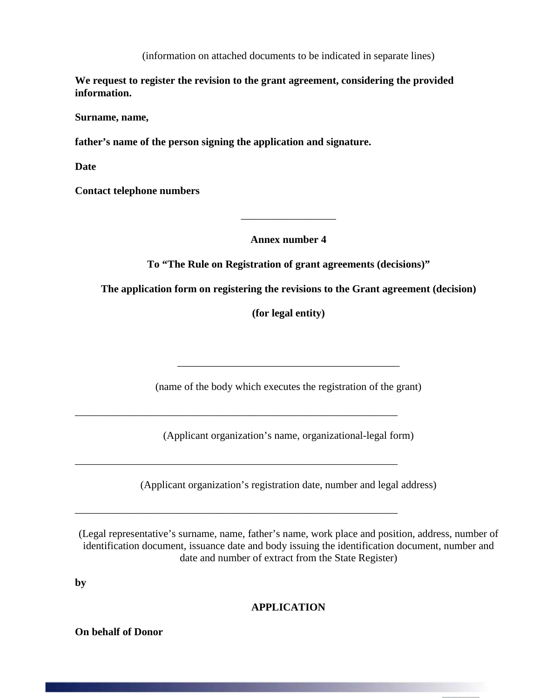(information on attached documents to be indicated in separate lines)

**We request to register the revision to the grant agreement, considering the provided information.**

**Surname, name,** 

**father's name of the person signing the application and signature.**

**Date**

**Contact telephone numbers**

**Annex number 4**

\_\_\_\_\_\_\_\_\_\_\_\_\_\_\_\_\_\_

**To "The Rule on Registration of grant agreements (decisions)"**

**The application form on registering the revisions to the Grant agreement (decision)**

**(for legal entity)** 

(name of the body which executes the registration of the grant)

\_\_\_\_\_\_\_\_\_\_\_\_\_\_\_\_\_\_\_\_\_\_\_\_\_\_\_\_\_\_\_\_\_\_\_\_\_\_\_\_\_\_

(Applicant organization's name, organizational-legal form)

\_\_\_\_\_\_\_\_\_\_\_\_\_\_\_\_\_\_\_\_\_\_\_\_\_\_\_\_\_\_\_\_\_\_\_\_\_\_\_\_\_\_\_\_\_\_\_\_\_\_\_\_\_\_\_\_\_\_\_\_\_

\_\_\_\_\_\_\_\_\_\_\_\_\_\_\_\_\_\_\_\_\_\_\_\_\_\_\_\_\_\_\_\_\_\_\_\_\_\_\_\_\_\_\_\_\_\_\_\_\_\_\_\_\_\_\_\_\_\_\_\_\_

\_\_\_\_\_\_\_\_\_\_\_\_\_\_\_\_\_\_\_\_\_\_\_\_\_\_\_\_\_\_\_\_\_\_\_\_\_\_\_\_\_\_\_\_\_\_\_\_\_\_\_\_\_\_\_\_\_\_\_\_\_

(Applicant organization's registration date, number and legal address)

(Legal representative's surname, name, father's name, work place and position, address, number of identification document, issuance date and body issuing the identification document, number and date and number of extract from the State Register)

**by**

**APPLICATION**

**On behalf of Donor**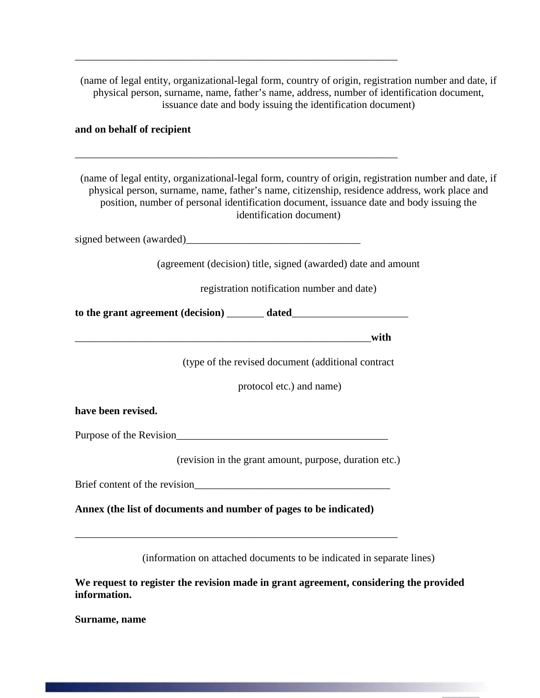(name of legal entity, organizational-legal form, country of origin, registration number and date, if physical person, surname, name, father's name, address, number of identification document, issuance date and body issuing the identification document)

#### **and on behalf of recipient**

(name of legal entity, organizational-legal form, country of origin, registration number and date, if physical person, surname, name, father's name, citizenship, residence address, work place and position, number of personal identification document, issuance date and body issuing the identification document)

signed between (awarded)

\_\_\_\_\_\_\_\_\_\_\_\_\_\_\_\_\_\_\_\_\_\_\_\_\_\_\_\_\_\_\_\_\_\_\_\_\_\_\_\_\_\_\_\_\_\_\_\_\_\_\_\_\_\_\_\_\_\_\_\_\_

\_\_\_\_\_\_\_\_\_\_\_\_\_\_\_\_\_\_\_\_\_\_\_\_\_\_\_\_\_\_\_\_\_\_\_\_\_\_\_\_\_\_\_\_\_\_\_\_\_\_\_\_\_\_\_\_\_\_\_\_\_

(agreement (decision) title, signed (awarded) date and amount

registration notification number and date)

**to the grant agreement (decision)** \_\_\_\_\_\_\_ **dated**\_\_\_\_\_\_\_\_\_\_\_\_\_\_\_\_\_\_\_\_\_\_

\_\_\_\_\_\_\_\_\_\_\_\_\_\_\_\_\_\_\_\_\_\_\_\_\_\_\_\_\_\_\_\_\_\_\_\_\_\_\_\_\_\_\_\_\_\_\_\_\_\_\_\_\_\_\_\_**with**

(type of the revised document (additional contract

protocol etc.) and name)

#### **have been revised.**

Purpose of the Revision\_\_\_\_\_\_\_\_\_\_\_\_\_\_\_\_\_\_\_\_\_\_\_\_\_\_\_\_\_\_\_\_\_\_\_\_\_\_\_\_

(revision in the grant amount, purpose, duration etc.)

Brief content of the revision

**Annex (the list of documents and number of pages to be indicated)** 

\_\_\_\_\_\_\_\_\_\_\_\_\_\_\_\_\_\_\_\_\_\_\_\_\_\_\_\_\_\_\_\_\_\_\_\_\_\_\_\_\_\_\_\_\_\_\_\_\_\_\_\_\_\_\_\_\_\_\_\_\_

(information on attached documents to be indicated in separate lines)

**We request to register the revision made in grant agreement, considering the provided information.**

**Surname, name**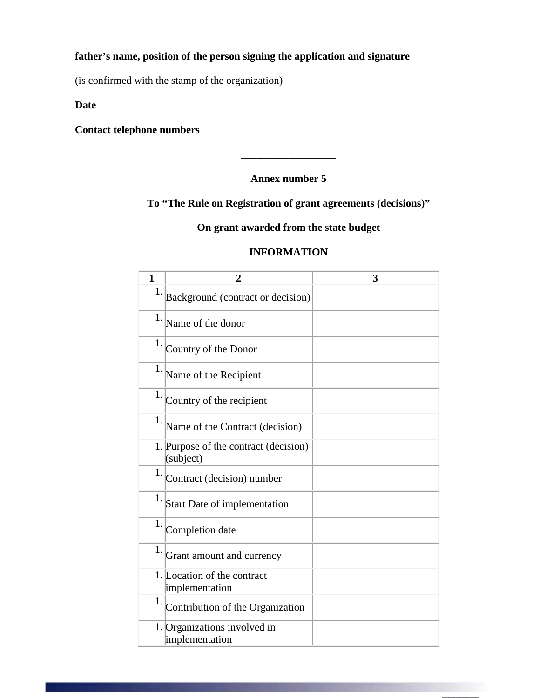## **father's name, position of the person signing the application and signature**

(is confirmed with the stamp of the organization)

## **Date**

## **Contact telephone numbers**

### **Annex number 5**

\_\_\_\_\_\_\_\_\_\_\_\_\_\_\_\_\_\_

## **To "The Rule on Registration of grant agreements (decisions)"**

## **On grant awarded from the state budget**

## **INFORMATION**

| $\mathbf{1}$ | 2                                                  | 3 |
|--------------|----------------------------------------------------|---|
| 1.           | Background (contract or decision)                  |   |
|              | $1.$ Name of the donor                             |   |
| 1.           | Country of the Donor                               |   |
| 1.           | Name of the Recipient                              |   |
| 1.           | Country of the recipient                           |   |
| 1.           | Name of the Contract (decision)                    |   |
|              | 1. Purpose of the contract (decision)<br>(subject) |   |
| 1.           | Contract (decision) number                         |   |
|              | $1.$ Start Date of implementation                  |   |
| 1.           | Completion date                                    |   |
| 1.           | Grant amount and currency                          |   |
|              | 1. Location of the contract<br>implementation      |   |
| 1.           | Contribution of the Organization                   |   |
|              | 1. Organizations involved in<br>implementation     |   |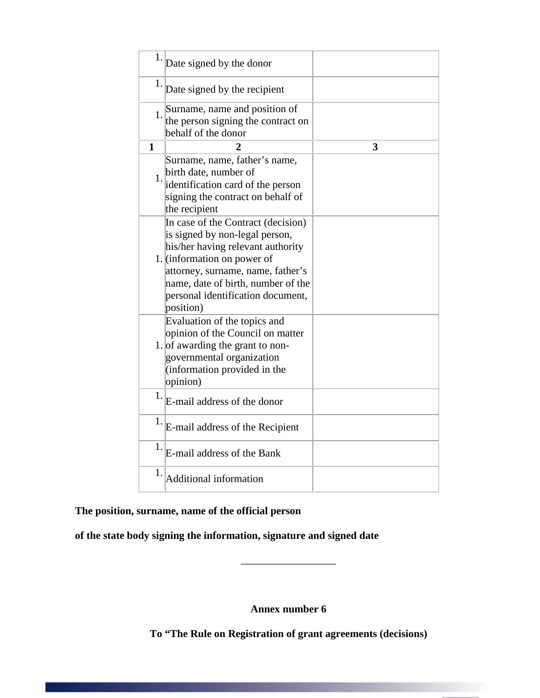| 1.           | Date signed by the donor                                                                                                                                                                                                                                              |   |
|--------------|-----------------------------------------------------------------------------------------------------------------------------------------------------------------------------------------------------------------------------------------------------------------------|---|
| 1.           | Date signed by the recipient                                                                                                                                                                                                                                          |   |
| 1.           | Surname, name and position of<br>the person signing the contract on<br>behalf of the donor                                                                                                                                                                            |   |
| $\mathbf{1}$ | $\mathbf 2$                                                                                                                                                                                                                                                           | 3 |
| 1.           | Surname, name, father's name,<br>birth date, number of<br>identification card of the person<br>signing the contract on behalf of<br>the recipient                                                                                                                     |   |
|              | In case of the Contract (decision)<br>is signed by non-legal person,<br>his/her having relevant authority<br>1. (information on power of<br>attorney, surname, name, father's<br>name, date of birth, number of the<br>personal identification document,<br>position) |   |
|              | Evaluation of the topics and<br>opinion of the Council on matter<br>1. of awarding the grant to non-<br>governmental organization<br>(information provided in the<br>opinion)                                                                                         |   |
|              | $1.$ E-mail address of the donor                                                                                                                                                                                                                                      |   |
| 1.           | E-mail address of the Recipient                                                                                                                                                                                                                                       |   |
| 1.           | E-mail address of the Bank                                                                                                                                                                                                                                            |   |
| 1.           | Additional information                                                                                                                                                                                                                                                |   |

# **The position, surname, name of the official person**

**of the state body signing the information, signature and signed date**

**Annex number 6** 

\_\_\_\_\_\_\_\_\_\_\_\_\_\_\_\_\_\_

**To "The Rule on Registration of grant agreements (decisions)**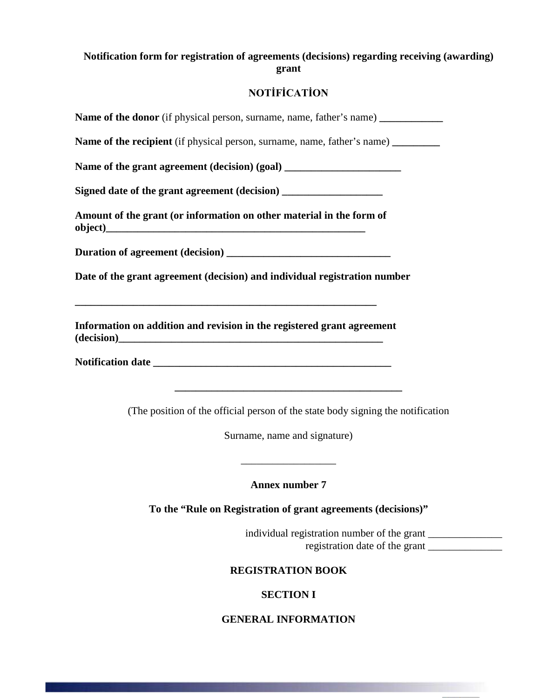### **Notification form for registration of agreements (decisions) regarding receiving (awarding) grant**

## **NOTİFİCATİON**

Name of the donor (if physical person, surname, name, father's name) Name of the recipient (if physical person, surname, name, father's name) \_\_\_\_\_\_\_\_\_ Name of the grant agreement (decision) (goal) Signed date of the grant agreement (decision) **Amount of the grant (or information on other material in the form of**  object) **Duration of agreement (decision) \_\_\_\_\_\_\_\_\_\_\_\_\_\_\_\_\_\_\_\_\_\_\_\_\_\_\_\_\_\_\_ Date of the grant agreement (decision) and individual registration number \_\_\_\_\_\_\_\_\_\_\_\_\_\_\_\_\_\_\_\_\_\_\_\_\_\_\_\_\_\_\_\_\_\_\_\_\_\_\_\_\_\_\_\_\_\_\_\_\_\_\_\_\_\_\_\_\_ Information on addition and revision in the registered grant agreement (decision)\_\_\_\_\_\_\_\_\_\_\_\_\_\_\_\_\_\_\_\_\_\_\_\_\_\_\_\_\_\_\_\_\_\_\_\_\_\_\_\_\_\_\_\_\_\_\_\_\_\_** Notification date **\_\_\_\_\_\_\_\_\_\_\_\_\_\_\_\_\_\_\_\_\_\_\_\_\_\_\_\_\_\_\_\_\_\_\_\_\_\_\_\_\_\_\_** (The position of the official person of the state body signing the notification Surname, name and signature) \_\_\_\_\_\_\_\_\_\_\_\_\_\_\_\_\_\_ **Annex number 7 To the "Rule on Registration of grant agreements (decisions)"**

> individual registration number of the grant registration date of the grant

**REGISTRATION BOOK**

**SECTION I**

**GENERAL INFORMATION**